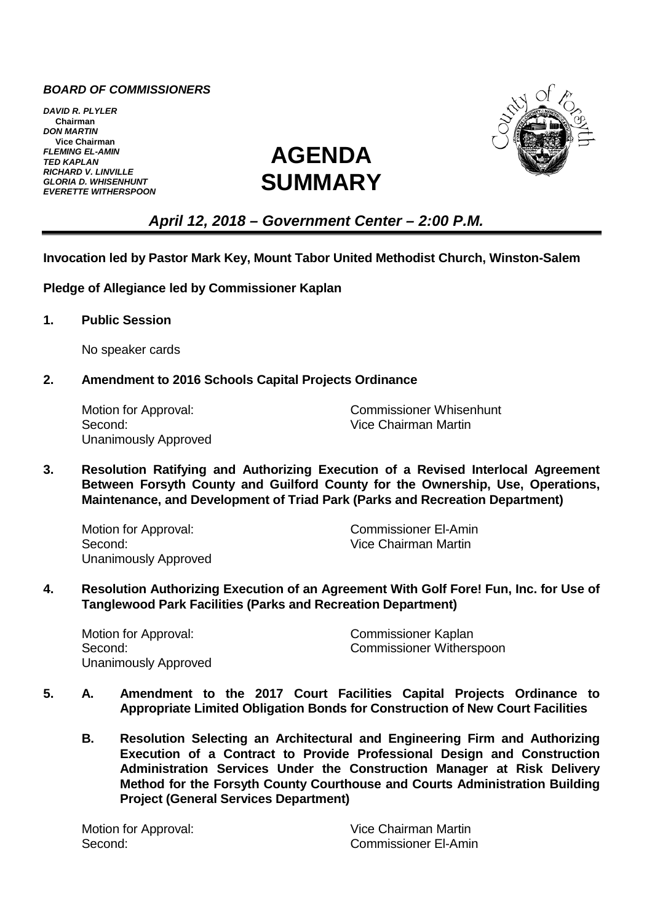## *BOARD OF COMMISSIONERS*

*DAVID R. PLYLER* **Chairman** *DON MARTIN* **Vice Chairman** *FLEMING EL-AMIN TED KAPLAN RICHARD V. LINVILLE GLORIA D. WHISENHUNT EVERETTE WITHERSPOON*





# *April 12, 2018 – Government Center – 2:00 P.M.*

#### **Invocation led by Pastor Mark Key, Mount Tabor United Methodist Church, Winston-Salem**

**Pledge of Allegiance led by Commissioner Kaplan**

**1. Public Session**

No speaker cards

### **2. Amendment to 2016 Schools Capital Projects Ordinance**

Second: Vice Chairman Martin Unanimously Approved

Motion for Approval: Commissioner Whisenhunt

**3. Resolution Ratifying and Authorizing Execution of a Revised Interlocal Agreement Between Forsyth County and Guilford County for the Ownership, Use, Operations, Maintenance, and Development of Triad Park (Parks and Recreation Department)**

Second: Vice Chairman Martin Unanimously Approved

Motion for Approval: Commissioner El-Amin

**4. Resolution Authorizing Execution of an Agreement With Golf Fore! Fun, Inc. for Use of Tanglewood Park Facilities (Parks and Recreation Department)**

Motion for Approval: Commissioner Kaplan Unanimously Approved

Second: Commissioner Witherspoon

- **5. A. Amendment to the 2017 Court Facilities Capital Projects Ordinance to Appropriate Limited Obligation Bonds for Construction of New Court Facilities**
	- **B. Resolution Selecting an Architectural and Engineering Firm and Authorizing Execution of a Contract to Provide Professional Design and Construction Administration Services Under the Construction Manager at Risk Delivery Method for the Forsyth County Courthouse and Courts Administration Building Project (General Services Department)**

Motion for Approval: Vice Chairman Martin Second: Commissioner El-Amin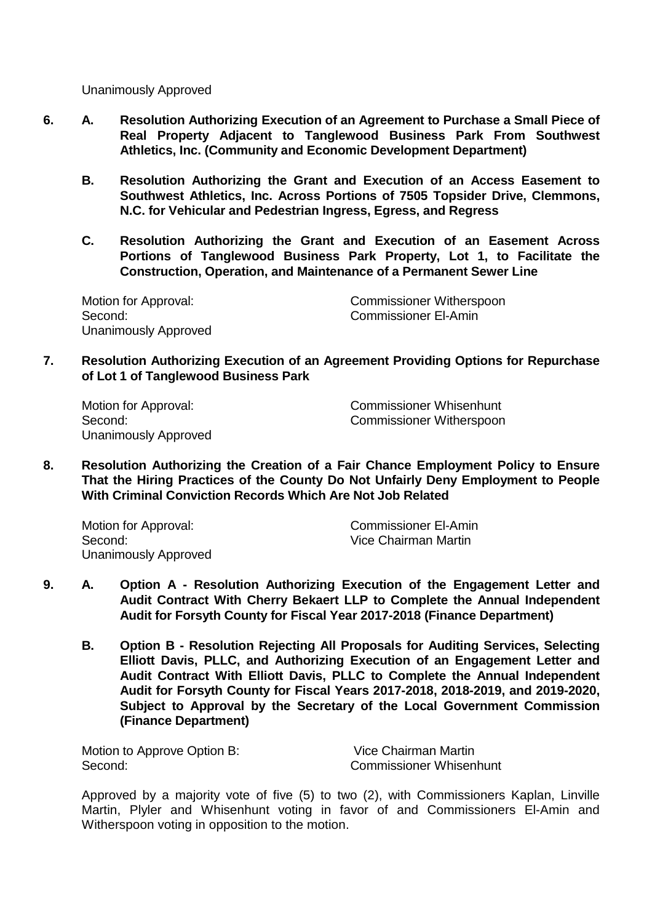Unanimously Approved

- **6. A. Resolution Authorizing Execution of an Agreement to Purchase a Small Piece of Real Property Adjacent to Tanglewood Business Park From Southwest Athletics, Inc. (Community and Economic Development Department)**
	- **B. Resolution Authorizing the Grant and Execution of an Access Easement to Southwest Athletics, Inc. Across Portions of 7505 Topsider Drive, Clemmons, N.C. for Vehicular and Pedestrian Ingress, Egress, and Regress**
	- **C. Resolution Authorizing the Grant and Execution of an Easement Across Portions of Tanglewood Business Park Property, Lot 1, to Facilitate the Construction, Operation, and Maintenance of a Permanent Sewer Line**

Second: Commissioner El-Amin Unanimously Approved

Motion for Approval: Commissioner Witherspoon

**7. Resolution Authorizing Execution of an Agreement Providing Options for Repurchase of Lot 1 of Tanglewood Business Park**

Unanimously Approved

Motion for Approval: Commissioner Whisenhunt Second: Second: Commissioner Witherspoon

**8. Resolution Authorizing the Creation of a Fair Chance Employment Policy to Ensure That the Hiring Practices of the County Do Not Unfairly Deny Employment to People With Criminal Conviction Records Which Are Not Job Related**

Second: Vice Chairman Martin Unanimously Approved

Motion for Approval: Commissioner El-Amin

- **9. A. Option A Resolution Authorizing Execution of the Engagement Letter and Audit Contract With Cherry Bekaert LLP to Complete the Annual Independent Audit for Forsyth County for Fiscal Year 2017-2018 (Finance Department)**
	- **B. Option B Resolution Rejecting All Proposals for Auditing Services, Selecting Elliott Davis, PLLC, and Authorizing Execution of an Engagement Letter and Audit Contract With Elliott Davis, PLLC to Complete the Annual Independent Audit for Forsyth County for Fiscal Years 2017-2018, 2018-2019, and 2019-2020, Subject to Approval by the Secretary of the Local Government Commission (Finance Department)**

Motion to Approve Option B: Vice Chairman Martin Second: Commissioner Whisenhunt

Approved by a majority vote of five (5) to two (2), with Commissioners Kaplan, Linville Martin, Plyler and Whisenhunt voting in favor of and Commissioners El-Amin and Witherspoon voting in opposition to the motion.